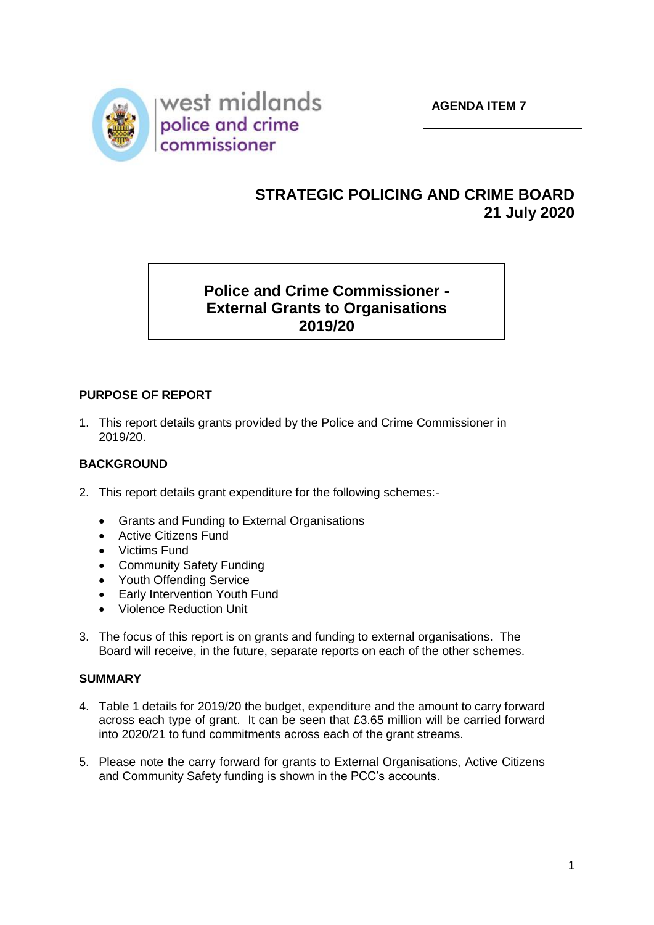



# **STRATEGIC POLICING AND CRIME BOARD 21 July 2020**

**Police and Crime Commissioner - External Grants to Organisations 2019/20**

# **PURPOSE OF REPORT**

1. This report details grants provided by the Police and Crime Commissioner in 2019/20.

# **BACKGROUND**

- 2. This report details grant expenditure for the following schemes:-
	- Grants and Funding to External Organisations
	- Active Citizens Fund
	- Victims Fund
	- Community Safety Funding
	- Youth Offending Service
	- Early Intervention Youth Fund
	- Violence Reduction Unit
- 3. The focus of this report is on grants and funding to external organisations. The Board will receive, in the future, separate reports on each of the other schemes.

#### **SUMMARY**

- 4. Table 1 details for 2019/20 the budget, expenditure and the amount to carry forward across each type of grant. It can be seen that £3.65 million will be carried forward into 2020/21 to fund commitments across each of the grant streams.
- 5. Please note the carry forward for grants to External Organisations, Active Citizens and Community Safety funding is shown in the PCC's accounts.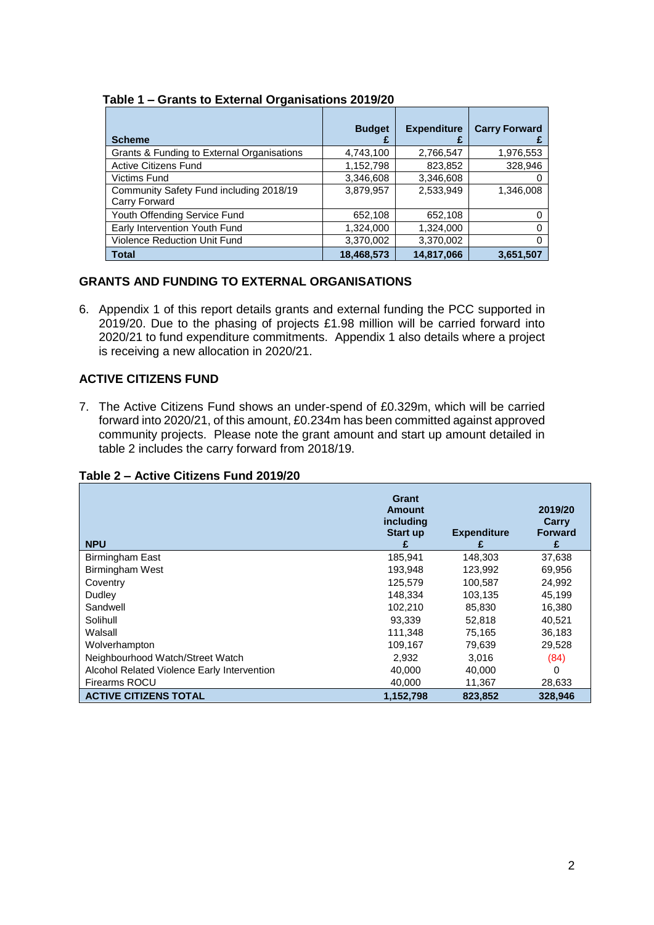#### **Table 1 – Grants to External Organisations 2019/20**

| <b>Scheme</b>                                            | <b>Budget</b> | <b>Expenditure</b> | <b>Carry Forward</b> |
|----------------------------------------------------------|---------------|--------------------|----------------------|
| Grants & Funding to External Organisations               | 4,743,100     | 2,766,547          | 1,976,553            |
| Active Citizens Fund                                     | 1,152,798     | 823,852            | 328,946              |
| <b>Victims Fund</b>                                      | 3.346.608     | 3.346.608          |                      |
| Community Safety Fund including 2018/19<br>Carry Forward | 3,879,957     | 2.533.949          | 1,346,008            |
| Youth Offending Service Fund                             | 652,108       | 652,108            |                      |
| Early Intervention Youth Fund                            | 1,324,000     | 1,324,000          |                      |
| <b>Violence Reduction Unit Fund</b>                      | 3,370,002     | 3,370,002          |                      |
| <b>Total</b>                                             | 18,468,573    | 14,817,066         | 3,651,507            |

# **GRANTS AND FUNDING TO EXTERNAL ORGANISATIONS**

6. Appendix 1 of this report details grants and external funding the PCC supported in 2019/20. Due to the phasing of projects £1.98 million will be carried forward into 2020/21 to fund expenditure commitments. Appendix 1 also details where a project is receiving a new allocation in 2020/21.

# **ACTIVE CITIZENS FUND**

7. The Active Citizens Fund shows an under-spend of £0.329m, which will be carried forward into 2020/21, of this amount, £0.234m has been committed against approved community projects. Please note the grant amount and start up amount detailed in table 2 includes the carry forward from 2018/19.

#### **Table 2 – Active Citizens Fund 2019/20**

| <b>NPU</b>                                  | Grant<br>Amount<br>including<br><b>Start up</b><br>£ | <b>Expenditure</b><br>£ | 2019/20<br>Carry<br><b>Forward</b><br>£ |
|---------------------------------------------|------------------------------------------------------|-------------------------|-----------------------------------------|
| Birmingham East                             | 185.941                                              | 148.303                 | 37,638                                  |
| Birmingham West                             | 193,948                                              | 123,992                 | 69,956                                  |
| Coventry                                    | 125.579                                              | 100.587                 | 24,992                                  |
| Dudley                                      | 148.334                                              | 103,135                 | 45,199                                  |
| Sandwell                                    | 102.210                                              | 85,830                  | 16,380                                  |
| Solihull                                    | 93,339                                               | 52,818                  | 40,521                                  |
| Walsall                                     | 111.348                                              | 75.165                  | 36,183                                  |
| Wolverhampton                               | 109,167                                              | 79,639                  | 29,528                                  |
| Neighbourhood Watch/Street Watch            | 2,932                                                | 3,016                   | (84)                                    |
| Alcohol Related Violence Early Intervention | 40.000                                               | 40.000                  | 0                                       |
| Firearms ROCU                               | 40,000                                               | 11,367                  | 28,633                                  |
| <b>ACTIVE CITIZENS TOTAL</b>                | 1,152,798                                            | 823.852                 | 328.946                                 |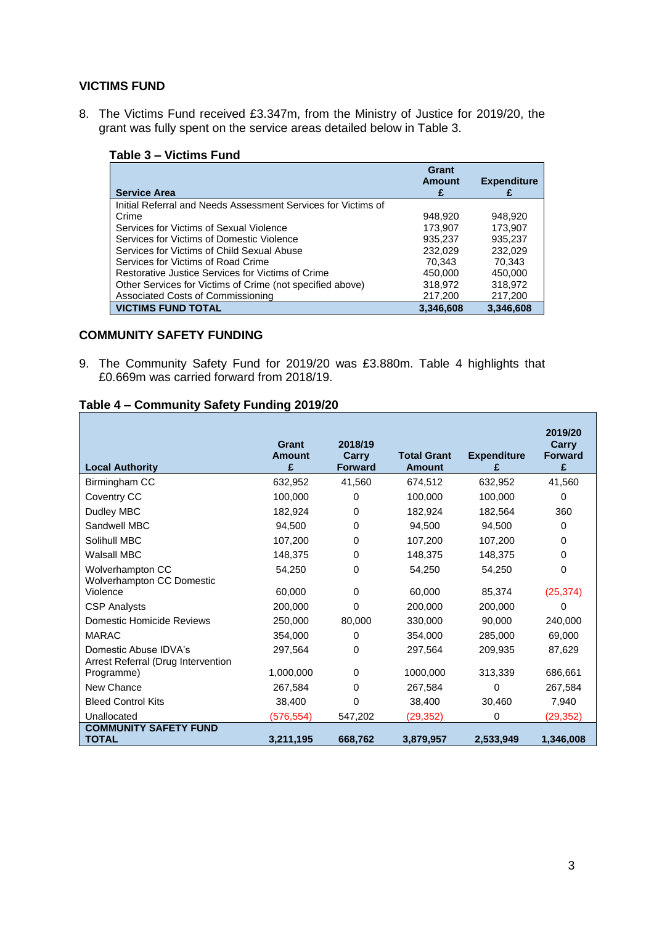#### **VICTIMS FUND**

8. The Victims Fund received £3.347m, from the Ministry of Justice for 2019/20, the grant was fully spent on the service areas detailed below in Table 3.

| <b>Service Area</b>                                           | Grant<br>Amount | <b>Expenditure</b> |
|---------------------------------------------------------------|-----------------|--------------------|
| Initial Referral and Needs Assessment Services for Victims of |                 |                    |
| Crime                                                         | 948.920         | 948.920            |
| Services for Victims of Sexual Violence                       | 173,907         | 173,907            |
| Services for Victims of Domestic Violence                     | 935,237         | 935,237            |
| Services for Victims of Child Sexual Abuse                    | 232,029         | 232.029            |
| Services for Victims of Road Crime                            | 70.343          | 70.343             |
| Restorative Justice Services for Victims of Crime             | 450,000         | 450.000            |
| Other Services for Victims of Crime (not specified above)     | 318,972         | 318,972            |
| Associated Costs of Commissioning                             | 217,200         | 217,200            |
| <b>VICTIMS FUND TOTAL</b>                                     | 3,346,608       | 3,346,608          |

# **Table 3 – Victims Fund**

## **COMMUNITY SAFETY FUNDING**

9. The Community Safety Fund for 2019/20 was £3.880m. Table 4 highlights that £0.669m was carried forward from 2018/19.

# **Table 4 – Community Safety Funding 2019/20**

| <b>Local Authority</b>                                      | Grant<br><b>Amount</b><br>£ | 2018/19<br>Carry<br><b>Forward</b> | <b>Total Grant</b><br><b>Amount</b> | <b>Expenditure</b><br>£ | 2019/20<br>Carry<br><b>Forward</b><br>£ |
|-------------------------------------------------------------|-----------------------------|------------------------------------|-------------------------------------|-------------------------|-----------------------------------------|
| Birmingham CC                                               | 632,952                     | 41,560                             | 674.512                             | 632.952                 | 41,560                                  |
| Coventry CC                                                 | 100,000                     | 0                                  | 100,000                             | 100,000                 | 0                                       |
| Dudley MBC                                                  | 182,924                     | 0                                  | 182,924                             | 182,564                 | 360                                     |
| Sandwell MBC                                                | 94,500                      | 0                                  | 94,500                              | 94,500                  | 0                                       |
| Solihull MBC                                                | 107,200                     | 0                                  | 107,200                             | 107,200                 | 0                                       |
| <b>Walsall MBC</b>                                          | 148,375                     | 0                                  | 148,375                             | 148,375                 | 0                                       |
| Wolverhampton CC<br>Wolverhampton CC Domestic               | 54,250                      | 0                                  | 54,250                              | 54,250                  | 0                                       |
| Violence                                                    | 60,000                      | 0                                  | 60,000                              | 85,374                  | (25, 374)                               |
| <b>CSP Analysts</b>                                         | 200,000                     | 0                                  | 200,000                             | 200,000                 | 0                                       |
| Domestic Homicide Reviews                                   | 250,000                     | 80,000                             | 330,000                             | 90.000                  | 240,000                                 |
| <b>MARAC</b>                                                | 354,000                     | 0                                  | 354,000                             | 285,000                 | 69,000                                  |
| Domestic Abuse IDVA's<br>Arrest Referral (Drug Intervention | 297,564                     | 0                                  | 297,564                             | 209,935                 | 87,629                                  |
| Programme)                                                  | 1,000,000                   | 0                                  | 1000,000                            | 313,339                 | 686,661                                 |
| New Chance                                                  | 267,584                     | 0                                  | 267,584                             | 0                       | 267,584                                 |
| <b>Bleed Control Kits</b>                                   | 38.400                      | 0                                  | 38,400                              | 30,460                  | 7,940                                   |
| Unallocated                                                 | (576, 554)                  | 547,202                            | (29, 352)                           | 0                       | (29, 352)                               |
| <b>COMMUNITY SAFETY FUND</b><br><b>TOTAL</b>                | 3,211,195                   | 668,762                            | 3,879,957                           | 2,533,949               | 1,346,008                               |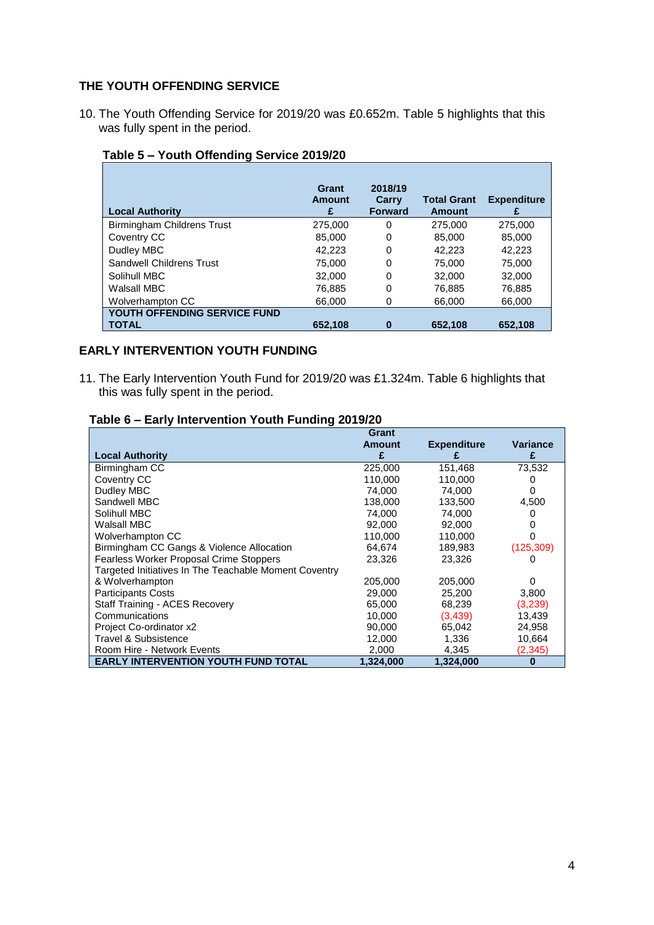#### **THE YOUTH OFFENDING SERVICE**

10. The Youth Offending Service for 2019/20 was £0.652m. Table 5 highlights that this was fully spent in the period.

| <b>Local Authority</b>            | Grant<br>Amount<br>£ | 2018/19<br>Carry<br><b>Forward</b> | <b>Total Grant</b><br><b>Amount</b> | <b>Expenditure</b> |
|-----------------------------------|----------------------|------------------------------------|-------------------------------------|--------------------|
| <b>Birmingham Childrens Trust</b> | 275,000              | 0                                  | 275,000                             | 275,000            |
| Coventry CC                       | 85,000               | 0                                  | 85,000                              | 85,000             |
| Dudley MBC                        | 42,223               | 0                                  | 42,223                              | 42,223             |
| <b>Sandwell Childrens Trust</b>   | 75,000               | 0                                  | 75,000                              | 75,000             |
| Solihull MBC                      | 32,000               | 0                                  | 32,000                              | 32,000             |
| Walsall MBC                       | 76,885               | 0                                  | 76,885                              | 76,885             |
| Wolverhampton CC                  | 66,000               | 0                                  | 66,000                              | 66,000             |
| YOUTH OFFENDING SERVICE FUND      |                      |                                    |                                     |                    |
| <b>TOTAL</b>                      | 652.108              | 0                                  | 652.108                             | 652.108            |

# **Table 5 – Youth Offending Service 2019/20**

## **EARLY INTERVENTION YOUTH FUNDING**

11. The Early Intervention Youth Fund for 2019/20 was £1.324m. Table 6 highlights that this was fully spent in the period.

#### **Table 6 – Early Intervention Youth Funding 2019/20**

|                                                       | Grant         |                    |                 |
|-------------------------------------------------------|---------------|--------------------|-----------------|
|                                                       | <b>Amount</b> | <b>Expenditure</b> | <b>Variance</b> |
| <b>Local Authority</b>                                | £             |                    | £               |
| Birmingham CC                                         | 225,000       | 151,468            | 73,532          |
| Coventry CC                                           | 110,000       | 110,000            |                 |
| Dudley MBC                                            | 74,000        | 74,000             |                 |
| Sandwell MBC                                          | 138.000       | 133.500            | 4,500           |
| Solihull MBC                                          | 74,000        | 74,000             |                 |
| Walsall MBC                                           | 92,000        | 92,000             |                 |
| Wolverhampton CC                                      | 110,000       | 110,000            |                 |
| Birmingham CC Gangs & Violence Allocation             | 64.674        | 189,983            | (125, 309)      |
| <b>Fearless Worker Proposal Crime Stoppers</b>        | 23,326        | 23,326             |                 |
| Targeted Initiatives In The Teachable Moment Coventry |               |                    |                 |
| & Wolverhampton                                       | 205,000       | 205,000            | O               |
| <b>Participants Costs</b>                             | 29,000        | 25,200             | 3,800           |
| Staff Training - ACES Recovery                        | 65,000        | 68,239             | (3,239)         |
| Communications                                        | 10,000        | (3,439)            | 13,439          |
| Project Co-ordinator x2                               | 90,000        | 65,042             | 24,958          |
| Travel & Subsistence                                  | 12,000        | 1,336              | 10,664          |
| Room Hire - Network Events                            | 2,000         | 4,345              | (2, 345)        |
| <b>EARLY INTERVENTION YOUTH FUND TOTAL</b>            | 1,324,000     | 1,324,000          | O               |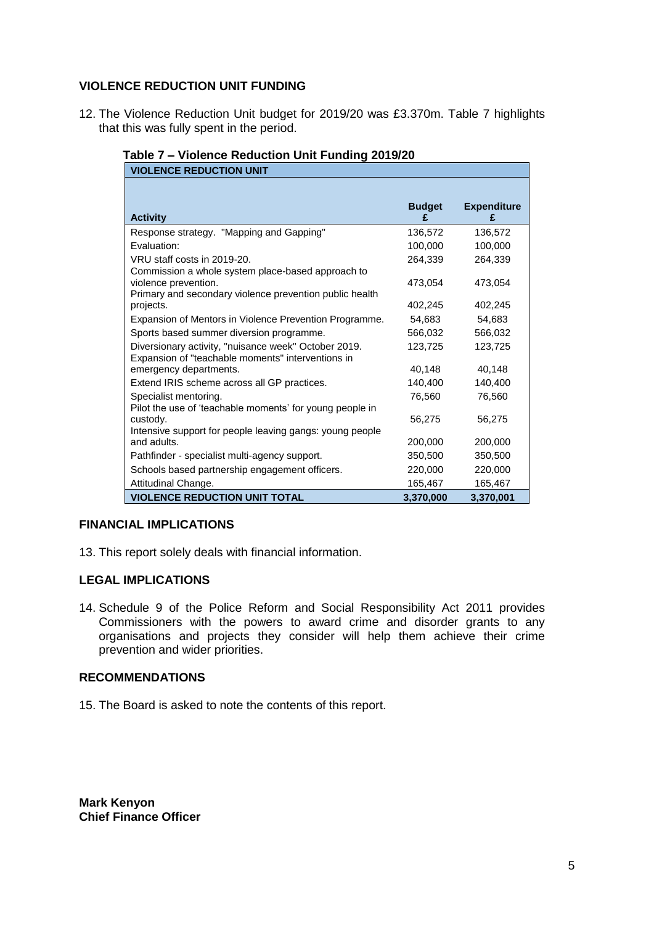#### **VIOLENCE REDUCTION UNIT FUNDING**

12. The Violence Reduction Unit budget for 2019/20 was £3.370m. Table 7 highlights that this was fully spent in the period.

| <b>VIOLENCE REDUCTION UNIT</b>                           |               |                         |
|----------------------------------------------------------|---------------|-------------------------|
| <b>Activity</b>                                          | <b>Budget</b> | <b>Expenditure</b><br>£ |
| Response strategy. "Mapping and Gapping"                 | 136,572       | 136,572                 |
| Evaluation:                                              | 100,000       | 100,000                 |
| VRU staff costs in 2019-20.                              | 264,339       | 264,339                 |
| Commission a whole system place-based approach to        |               |                         |
| violence prevention.                                     | 473.054       | 473,054                 |
| Primary and secondary violence prevention public health  |               |                         |
| projects.                                                | 402,245       | 402,245                 |
| Expansion of Mentors in Violence Prevention Programme.   | 54,683        | 54,683                  |
| Sports based summer diversion programme.                 | 566,032       | 566,032                 |
| Diversionary activity, "nuisance week" October 2019.     | 123,725       | 123,725                 |
| Expansion of "teachable moments" interventions in        |               |                         |
| emergency departments.                                   | 40,148        | 40,148                  |
| Extend IRIS scheme across all GP practices.              | 140,400       | 140,400                 |
| Specialist mentoring.                                    | 76,560        | 76,560                  |
| Pilot the use of 'teachable moments' for young people in |               |                         |
| custody.                                                 | 56,275        | 56,275                  |
| Intensive support for people leaving gangs: young people |               |                         |
| and adults.                                              | 200,000       | 200,000                 |
| Pathfinder - specialist multi-agency support.            | 350,500       | 350,500                 |
| Schools based partnership engagement officers.           | 220,000       | 220,000                 |
| Attitudinal Change.                                      | 165,467       | 165,467                 |
| <b>VIOLENCE REDUCTION UNIT TOTAL</b>                     | 3,370,000     | 3,370,001               |

## **Table 7 – Violence Reduction Unit Funding 2019/20**

#### **FINANCIAL IMPLICATIONS**

13. This report solely deals with financial information.

## **LEGAL IMPLICATIONS**

14. Schedule 9 of the Police Reform and Social Responsibility Act 2011 provides Commissioners with the powers to award crime and disorder grants to any organisations and projects they consider will help them achieve their crime prevention and wider priorities.

#### **RECOMMENDATIONS**

15. The Board is asked to note the contents of this report.

**Mark Kenyon Chief Finance Officer**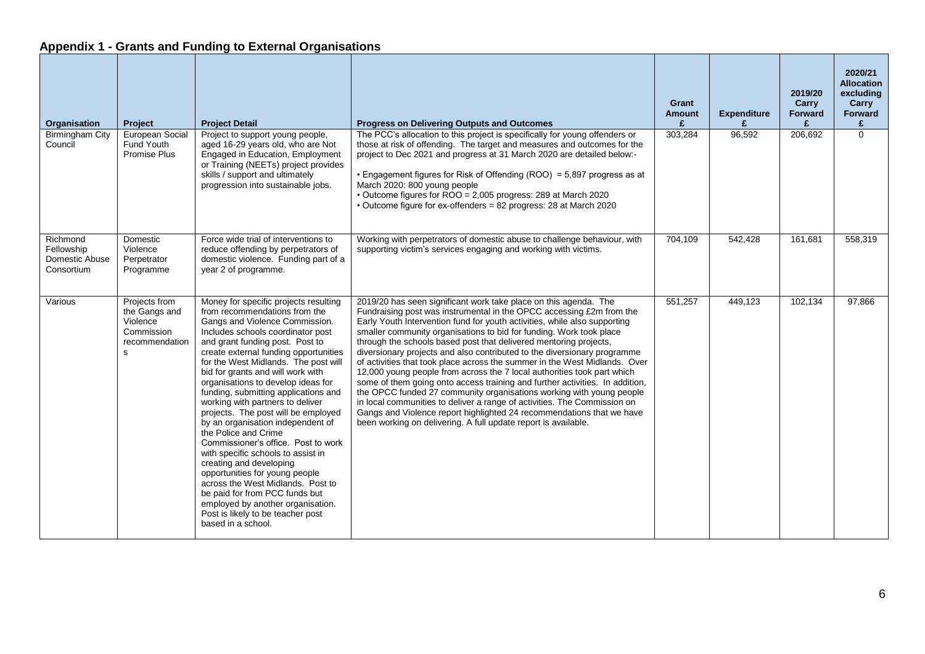# **Appendix 1 - Grants and Funding to External Organisations**

| Organisation                                           | Project                                                                                   | <b>Project Detail</b>                                                                                                                                                                                                                                                                                                                                                                                                                                                                                                                                                                                                                                                                                                                                                                                                                         | <b>Progress on Delivering Outputs and Outcomes</b>                                                                                                                                                                                                                                                                                                                                                                                                                                                                                                                                                                                                                                                                                                                                                                                                                                                                                                                                    | Grant<br><b>Amount</b><br>£ | <b>Expenditure</b><br>£ | 2019/20<br>Carry<br><b>Forward</b><br>£ | 2020/21<br><b>Allocation</b><br>excluding<br>Carry<br>Forward<br>£ |
|--------------------------------------------------------|-------------------------------------------------------------------------------------------|-----------------------------------------------------------------------------------------------------------------------------------------------------------------------------------------------------------------------------------------------------------------------------------------------------------------------------------------------------------------------------------------------------------------------------------------------------------------------------------------------------------------------------------------------------------------------------------------------------------------------------------------------------------------------------------------------------------------------------------------------------------------------------------------------------------------------------------------------|---------------------------------------------------------------------------------------------------------------------------------------------------------------------------------------------------------------------------------------------------------------------------------------------------------------------------------------------------------------------------------------------------------------------------------------------------------------------------------------------------------------------------------------------------------------------------------------------------------------------------------------------------------------------------------------------------------------------------------------------------------------------------------------------------------------------------------------------------------------------------------------------------------------------------------------------------------------------------------------|-----------------------------|-------------------------|-----------------------------------------|--------------------------------------------------------------------|
| Birmingham City<br>Council                             | European Social<br>Fund Youth<br><b>Promise Plus</b>                                      | Project to support young people,<br>aged 16-29 years old, who are Not<br>Engaged in Education, Employment<br>or Training (NEETs) project provides<br>skills / support and ultimately<br>progression into sustainable jobs.                                                                                                                                                                                                                                                                                                                                                                                                                                                                                                                                                                                                                    | The PCC's allocation to this project is specifically for young offenders or<br>those at risk of offending. The target and measures and outcomes for the<br>project to Dec 2021 and progress at 31 March 2020 are detailed below:-<br>• Engagement figures for Risk of Offending (ROO) = 5,897 progress as at<br>March 2020: 800 young people<br>• Outcome figures for ROO = 2,005 progress: 289 at March 2020<br>• Outcome figure for ex-offenders = 82 progress: 28 at March 2020                                                                                                                                                                                                                                                                                                                                                                                                                                                                                                    | 303,284                     | 96,592                  | 206,692                                 | $\Omega$                                                           |
| Richmond<br>Fellowship<br>Domestic Abuse<br>Consortium | Domestic<br>Violence<br>Perpetrator<br>Programme                                          | Force wide trial of interventions to<br>reduce offending by perpetrators of<br>domestic violence. Funding part of a<br>year 2 of programme.                                                                                                                                                                                                                                                                                                                                                                                                                                                                                                                                                                                                                                                                                                   | Working with perpetrators of domestic abuse to challenge behaviour, with<br>supporting victim's services engaging and working with victims.                                                                                                                                                                                                                                                                                                                                                                                                                                                                                                                                                                                                                                                                                                                                                                                                                                           | 704.109                     | 542,428                 | 161,681                                 | 558.319                                                            |
| Various                                                | Projects from<br>the Gangs and<br>Violence<br>Commission<br>recommendation<br>$\mathbf s$ | Money for specific projects resulting<br>from recommendations from the<br>Gangs and Violence Commission.<br>Includes schools coordinator post<br>and grant funding post. Post to<br>create external funding opportunities<br>for the West Midlands. The post will<br>bid for grants and will work with<br>organisations to develop ideas for<br>funding, submitting applications and<br>working with partners to deliver<br>projects. The post will be employed<br>by an organisation independent of<br>the Police and Crime<br>Commissioner's office. Post to work<br>with specific schools to assist in<br>creating and developing<br>opportunities for young people<br>across the West Midlands. Post to<br>be paid for from PCC funds but<br>employed by another organisation.<br>Post is likely to be teacher post<br>based in a school. | 2019/20 has seen significant work take place on this agenda. The<br>Fundraising post was instrumental in the OPCC accessing £2m from the<br>Early Youth Intervention fund for youth activities, while also supporting<br>smaller community organisations to bid for funding. Work took place<br>through the schools based post that delivered mentoring projects,<br>diversionary projects and also contributed to the diversionary programme<br>of activities that took place across the summer in the West Midlands. Over<br>12,000 young people from across the 7 local authorities took part which<br>some of them going onto access training and further activities. In addition,<br>the OPCC funded 27 community organisations working with young people<br>in local communities to deliver a range of activities. The Commission on<br>Gangs and Violence report highlighted 24 recommendations that we have<br>been working on delivering. A full update report is available. | 551,257                     | 449,123                 | 102,134                                 | 97,866                                                             |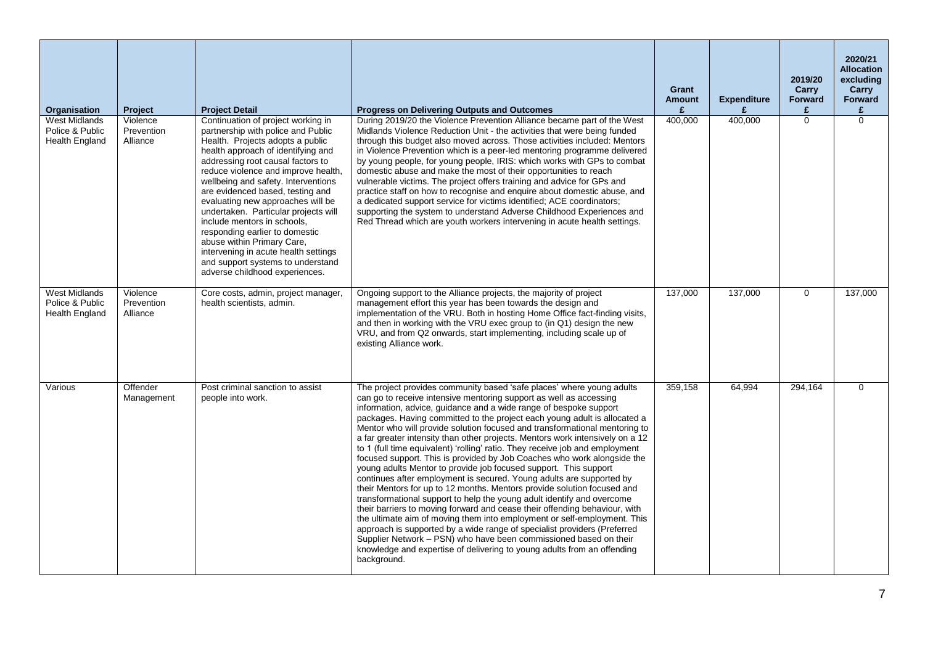| Organisation                                                     | Project                            | <b>Project Detail</b>                                                                                                                                                                                                                                                                                                                                                                                                                                                                                                                                                                                | <b>Progress on Delivering Outputs and Outcomes</b>                                                                                                                                                                                                                                                                                                                                                                                                                                                                                                                                                                                                                                                                                                                                                                                                                                                                                                                                                                                                                                                                                                                                                                                                                                                                            | Grant<br><b>Amount</b><br>£ | <b>Expenditure</b><br>£ | 2019/20<br>Carry<br><b>Forward</b><br>£ | 2020/21<br><b>Allocation</b><br>excluding<br>Carry<br>Forward<br>£ |
|------------------------------------------------------------------|------------------------------------|------------------------------------------------------------------------------------------------------------------------------------------------------------------------------------------------------------------------------------------------------------------------------------------------------------------------------------------------------------------------------------------------------------------------------------------------------------------------------------------------------------------------------------------------------------------------------------------------------|-------------------------------------------------------------------------------------------------------------------------------------------------------------------------------------------------------------------------------------------------------------------------------------------------------------------------------------------------------------------------------------------------------------------------------------------------------------------------------------------------------------------------------------------------------------------------------------------------------------------------------------------------------------------------------------------------------------------------------------------------------------------------------------------------------------------------------------------------------------------------------------------------------------------------------------------------------------------------------------------------------------------------------------------------------------------------------------------------------------------------------------------------------------------------------------------------------------------------------------------------------------------------------------------------------------------------------|-----------------------------|-------------------------|-----------------------------------------|--------------------------------------------------------------------|
| <b>West Midlands</b><br>Police & Public<br><b>Health England</b> | Violence<br>Prevention<br>Alliance | Continuation of project working in<br>partnership with police and Public<br>Health. Projects adopts a public<br>health approach of identifying and<br>addressing root causal factors to<br>reduce violence and improve health,<br>wellbeing and safety. Interventions<br>are evidenced based, testing and<br>evaluating new approaches will be<br>undertaken. Particular projects will<br>include mentors in schools,<br>responding earlier to domestic<br>abuse within Primary Care,<br>intervening in acute health settings<br>and support systems to understand<br>adverse childhood experiences. | During 2019/20 the Violence Prevention Alliance became part of the West<br>Midlands Violence Reduction Unit - the activities that were being funded<br>through this budget also moved across. Those activities included: Mentors<br>in Violence Prevention which is a peer-led mentoring programme delivered<br>by young people, for young people, IRIS: which works with GPs to combat<br>domestic abuse and make the most of their opportunities to reach<br>vulnerable victims. The project offers training and advice for GPs and<br>practice staff on how to recognise and enquire about domestic abuse, and<br>a dedicated support service for victims identified; ACE coordinators;<br>supporting the system to understand Adverse Childhood Experiences and<br>Red Thread which are youth workers intervening in acute health settings.                                                                                                                                                                                                                                                                                                                                                                                                                                                                               | 400,000                     | 400,000                 | $\Omega$                                | $\Omega$                                                           |
| <b>West Midlands</b><br>Police & Public<br>Health England        | Violence<br>Prevention<br>Alliance | Core costs, admin, project manager,<br>health scientists, admin.                                                                                                                                                                                                                                                                                                                                                                                                                                                                                                                                     | Ongoing support to the Alliance projects, the majority of project<br>management effort this year has been towards the design and<br>implementation of the VRU. Both in hosting Home Office fact-finding visits,<br>and then in working with the VRU exec group to (in Q1) design the new<br>VRU, and from Q2 onwards, start implementing, including scale up of<br>existing Alliance work.                                                                                                                                                                                                                                                                                                                                                                                                                                                                                                                                                                                                                                                                                                                                                                                                                                                                                                                                    | 137,000                     | 137,000                 | $\mathbf 0$                             | 137,000                                                            |
| Various                                                          | Offender<br>Management             | Post criminal sanction to assist<br>people into work.                                                                                                                                                                                                                                                                                                                                                                                                                                                                                                                                                | The project provides community based 'safe places' where young adults<br>can go to receive intensive mentoring support as well as accessing<br>information, advice, guidance and a wide range of bespoke support<br>packages. Having committed to the project each young adult is allocated a<br>Mentor who will provide solution focused and transformational mentoring to<br>a far greater intensity than other projects. Mentors work intensively on a 12<br>to 1 (full time equivalent) 'rolling' ratio. They receive job and employment<br>focused support. This is provided by Job Coaches who work alongside the<br>young adults Mentor to provide job focused support. This support<br>continues after employment is secured. Young adults are supported by<br>their Mentors for up to 12 months. Mentors provide solution focused and<br>transformational support to help the young adult identify and overcome<br>their barriers to moving forward and cease their offending behaviour, with<br>the ultimate aim of moving them into employment or self-employment. This<br>approach is supported by a wide range of specialist providers (Preferred<br>Supplier Network – PSN) who have been commissioned based on their<br>knowledge and expertise of delivering to young adults from an offending<br>background. | 359,158                     | 64.994                  | 294,164                                 | $\Omega$                                                           |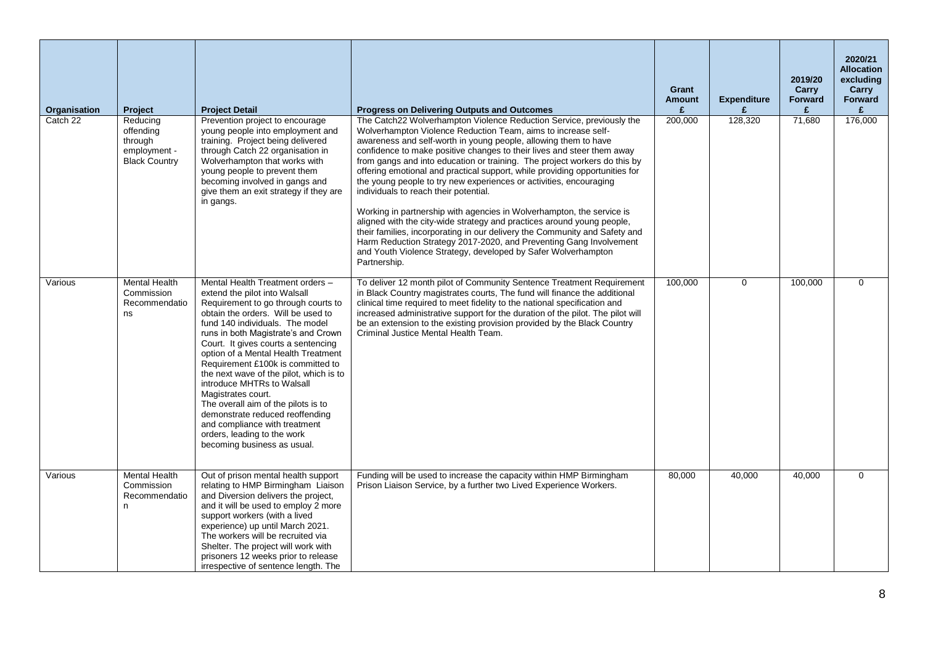| Organisation | Project                                                                  | <b>Project Detail</b>                                                                                                                                                                                                                                                                                                                                                                                                                                                                                                                                                                                               | <b>Progress on Delivering Outputs and Outcomes</b>                                                                                                                                                                                                                                                                                                                                                                                                                                                                                                                                                                                                                                                                                                                                                                                                                                                                                                    | Grant<br><b>Amount</b><br>£ | <b>Expenditure</b><br>£ | 2019/20<br>Carry<br><b>Forward</b><br>£ | 2020/21<br><b>Allocation</b><br>excluding<br>Carry<br>Forward<br>£ |
|--------------|--------------------------------------------------------------------------|---------------------------------------------------------------------------------------------------------------------------------------------------------------------------------------------------------------------------------------------------------------------------------------------------------------------------------------------------------------------------------------------------------------------------------------------------------------------------------------------------------------------------------------------------------------------------------------------------------------------|-------------------------------------------------------------------------------------------------------------------------------------------------------------------------------------------------------------------------------------------------------------------------------------------------------------------------------------------------------------------------------------------------------------------------------------------------------------------------------------------------------------------------------------------------------------------------------------------------------------------------------------------------------------------------------------------------------------------------------------------------------------------------------------------------------------------------------------------------------------------------------------------------------------------------------------------------------|-----------------------------|-------------------------|-----------------------------------------|--------------------------------------------------------------------|
| Catch 22     | Reducing<br>offending<br>through<br>employment -<br><b>Black Country</b> | Prevention project to encourage<br>young people into employment and<br>training. Project being delivered<br>through Catch 22 organisation in<br>Wolverhampton that works with<br>young people to prevent them<br>becoming involved in gangs and<br>give them an exit strategy if they are<br>in gangs.                                                                                                                                                                                                                                                                                                              | The Catch22 Wolverhampton Violence Reduction Service, previously the<br>Wolverhampton Violence Reduction Team, aims to increase self-<br>awareness and self-worth in young people, allowing them to have<br>confidence to make positive changes to their lives and steer them away<br>from gangs and into education or training. The project workers do this by<br>offering emotional and practical support, while providing opportunities for<br>the young people to try new experiences or activities, encouraging<br>individuals to reach their potential.<br>Working in partnership with agencies in Wolverhampton, the service is<br>aligned with the city-wide strategy and practices around young people,<br>their families, incorporating in our delivery the Community and Safety and<br>Harm Reduction Strategy 2017-2020, and Preventing Gang Involvement<br>and Youth Violence Strategy, developed by Safer Wolverhampton<br>Partnership. | 200,000                     | 128,320                 | 71,680                                  | 176,000                                                            |
| Various      | <b>Mental Health</b><br>Commission<br>Recommendatio<br>ns                | Mental Health Treatment orders -<br>extend the pilot into Walsall<br>Requirement to go through courts to<br>obtain the orders. Will be used to<br>fund 140 individuals. The model<br>runs in both Magistrate's and Crown<br>Court. It gives courts a sentencing<br>option of a Mental Health Treatment<br>Requirement £100k is committed to<br>the next wave of the pilot, which is to<br>introduce MHTRs to Walsall<br>Magistrates court.<br>The overall aim of the pilots is to<br>demonstrate reduced reoffending<br>and compliance with treatment<br>orders, leading to the work<br>becoming business as usual. | To deliver 12 month pilot of Community Sentence Treatment Requirement<br>in Black Country magistrates courts, The fund will finance the additional<br>clinical time required to meet fidelity to the national specification and<br>increased administrative support for the duration of the pilot. The pilot will<br>be an extension to the existing provision provided by the Black Country<br>Criminal Justice Mental Health Team.                                                                                                                                                                                                                                                                                                                                                                                                                                                                                                                  | 100,000                     | 0                       | 100,000                                 | 0                                                                  |
| Various      | <b>Mental Health</b><br>Commission<br>Recommendatio<br>n                 | Out of prison mental health support<br>relating to HMP Birmingham Liaison<br>and Diversion delivers the project,<br>and it will be used to employ 2 more<br>support workers (with a lived<br>experience) up until March 2021.<br>The workers will be recruited via<br>Shelter. The project will work with<br>prisoners 12 weeks prior to release<br>irrespective of sentence length. The                                                                                                                                                                                                                            | Funding will be used to increase the capacity within HMP Birmingham<br>Prison Liaison Service, by a further two Lived Experience Workers.                                                                                                                                                                                                                                                                                                                                                                                                                                                                                                                                                                                                                                                                                                                                                                                                             | 80,000                      | 40,000                  | 40,000                                  | 0                                                                  |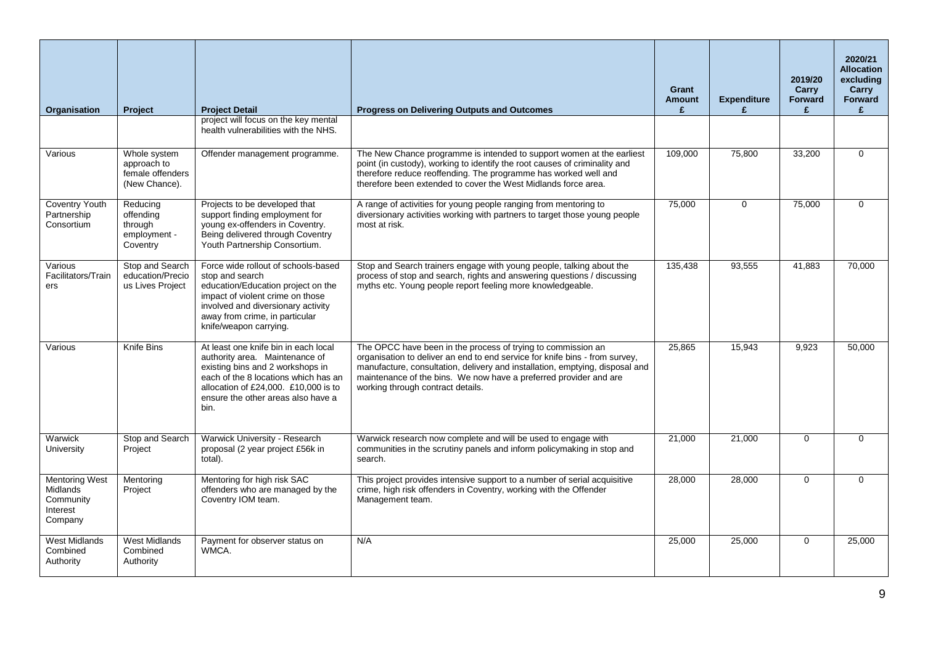| <b>Organisation</b>                                                          | <b>Project</b>                                                   | <b>Project Detail</b>                                                                                                                                                                                                                    | <b>Progress on Delivering Outputs and Outcomes</b>                                                                                                                                                                                                                                                                                    | Grant<br><b>Amount</b><br>£ | <b>Expenditure</b><br>£ | 2019/20<br>Carry<br><b>Forward</b><br>£ | 2020/21<br><b>Allocation</b><br>excluding<br>Carry<br>Forward<br>£ |
|------------------------------------------------------------------------------|------------------------------------------------------------------|------------------------------------------------------------------------------------------------------------------------------------------------------------------------------------------------------------------------------------------|---------------------------------------------------------------------------------------------------------------------------------------------------------------------------------------------------------------------------------------------------------------------------------------------------------------------------------------|-----------------------------|-------------------------|-----------------------------------------|--------------------------------------------------------------------|
|                                                                              |                                                                  | project will focus on the key mental<br>health vulnerabilities with the NHS.                                                                                                                                                             |                                                                                                                                                                                                                                                                                                                                       |                             |                         |                                         |                                                                    |
| Various                                                                      | Whole system<br>approach to<br>female offenders<br>(New Chance). | Offender management programme.                                                                                                                                                                                                           | The New Chance programme is intended to support women at the earliest<br>point (in custody), working to identify the root causes of criminality and<br>therefore reduce reoffending. The programme has worked well and<br>therefore been extended to cover the West Midlands force area.                                              | 109,000                     | 75,800                  | 33,200                                  | $\Omega$                                                           |
| <b>Coventry Youth</b><br>Partnership<br>Consortium                           | Reducing<br>offending<br>through<br>employment -<br>Coventry     | Projects to be developed that<br>support finding employment for<br>young ex-offenders in Coventry.<br>Being delivered through Coventry<br>Youth Partnership Consortium.                                                                  | A range of activities for young people ranging from mentoring to<br>diversionary activities working with partners to target those young people<br>most at risk.                                                                                                                                                                       | 75,000                      | $\mathbf 0$             | 75,000                                  | $\Omega$                                                           |
| Various<br>Facilitators/Train<br>ers                                         | Stop and Search<br>education/Precio<br>us Lives Project          | Force wide rollout of schools-based<br>stop and search<br>education/Education project on the<br>impact of violent crime on those<br>involved and diversionary activity<br>away from crime, in particular<br>knife/weapon carrying.       | Stop and Search trainers engage with young people, talking about the<br>process of stop and search, rights and answering questions / discussing<br>myths etc. Young people report feeling more knowledgeable.                                                                                                                         | 135,438                     | 93,555                  | 41,883                                  | 70,000                                                             |
| Various                                                                      | Knife Bins                                                       | At least one knife bin in each local<br>authority area. Maintenance of<br>existing bins and 2 workshops in<br>each of the 8 locations which has an<br>allocation of £24,000. £10,000 is to<br>ensure the other areas also have a<br>bin. | The OPCC have been in the process of trying to commission an<br>organisation to deliver an end to end service for knife bins - from survey,<br>manufacture, consultation, delivery and installation, emptying, disposal and<br>maintenance of the bins. We now have a preferred provider and are<br>working through contract details. | 25,865                      | 15,943                  | 9,923                                   | 50,000                                                             |
| Warwick<br>University                                                        | Stop and Search<br>Project                                       | Warwick University - Research<br>proposal (2 year project £56k in<br>total).                                                                                                                                                             | Warwick research now complete and will be used to engage with<br>communities in the scrutiny panels and inform policymaking in stop and<br>search.                                                                                                                                                                                    | 21,000                      | 21,000                  | $\Omega$                                | $\Omega$                                                           |
| <b>Mentoring West</b><br><b>Midlands</b><br>Community<br>Interest<br>Company | Mentoring<br>Project                                             | Mentoring for high risk SAC<br>offenders who are managed by the<br>Coventry IOM team.                                                                                                                                                    | This project provides intensive support to a number of serial acquisitive<br>crime, high risk offenders in Coventry, working with the Offender<br>Management team.                                                                                                                                                                    | 28,000                      | 28,000                  | $\mathbf 0$                             | $\Omega$                                                           |
| <b>West Midlands</b><br>Combined<br>Authority                                | <b>West Midlands</b><br>Combined<br>Authority                    | Payment for observer status on<br>WMCA.                                                                                                                                                                                                  | N/A                                                                                                                                                                                                                                                                                                                                   | 25,000                      | 25,000                  | $\mathbf 0$                             | 25,000                                                             |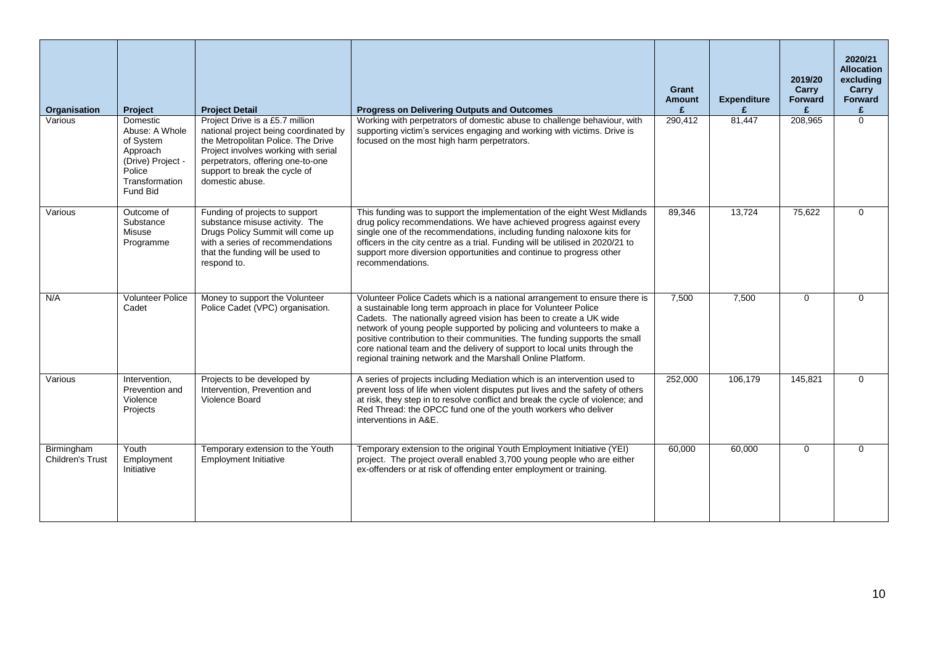| Organisation                          | Project                                                                                                                 | <b>Project Detail</b>                                                                                                                                                                                                                           | <b>Progress on Delivering Outputs and Outcomes</b>                                                                                                                                                                                                                                                                                                                                                                                                                                                                    | Grant<br><b>Amount</b><br>£ | <b>Expenditure</b> | 2019/20<br>Carry<br>Forward | 2020/21<br><b>Allocation</b><br>excluding<br>Carry<br>Forward<br>£ |
|---------------------------------------|-------------------------------------------------------------------------------------------------------------------------|-------------------------------------------------------------------------------------------------------------------------------------------------------------------------------------------------------------------------------------------------|-----------------------------------------------------------------------------------------------------------------------------------------------------------------------------------------------------------------------------------------------------------------------------------------------------------------------------------------------------------------------------------------------------------------------------------------------------------------------------------------------------------------------|-----------------------------|--------------------|-----------------------------|--------------------------------------------------------------------|
| Various                               | <b>Domestic</b><br>Abuse: A Whole<br>of System<br>Approach<br>(Drive) Project -<br>Police<br>Transformation<br>Fund Bid | Project Drive is a £5.7 million<br>national project being coordinated by<br>the Metropolitan Police. The Drive<br>Project involves working with serial<br>perpetrators, offering one-to-one<br>support to break the cycle of<br>domestic abuse. | Working with perpetrators of domestic abuse to challenge behaviour, with<br>supporting victim's services engaging and working with victims. Drive is<br>focused on the most high harm perpetrators.                                                                                                                                                                                                                                                                                                                   | 290,412                     | 81,447             | 208,965                     | $\Omega$                                                           |
| Various                               | Outcome of<br>Substance<br>Misuse<br>Programme                                                                          | Funding of projects to support<br>substance misuse activity. The<br>Drugs Policy Summit will come up<br>with a series of recommendations<br>that the funding will be used to<br>respond to.                                                     | This funding was to support the implementation of the eight West Midlands<br>drug policy recommendations. We have achieved progress against every<br>single one of the recommendations, including funding naloxone kits for<br>officers in the city centre as a trial. Funding will be utilised in 2020/21 to<br>support more diversion opportunities and continue to progress other<br>recommendations.                                                                                                              | 89,346                      | 13,724             | 75,622                      | $\Omega$                                                           |
| N/A                                   | <b>Volunteer Police</b><br>Cadet                                                                                        | Money to support the Volunteer<br>Police Cadet (VPC) organisation.                                                                                                                                                                              | Volunteer Police Cadets which is a national arrangement to ensure there is<br>a sustainable long term approach in place for Volunteer Police<br>Cadets. The nationally agreed vision has been to create a UK wide<br>network of young people supported by policing and volunteers to make a<br>positive contribution to their communities. The funding supports the small<br>core national team and the delivery of support to local units through the<br>regional training network and the Marshall Online Platform. | 7,500                       | 7.500              | $\mathbf 0$                 | $\Omega$                                                           |
| Various                               | Intervention.<br>Prevention and<br>Violence<br>Projects                                                                 | Projects to be developed by<br>Intervention, Prevention and<br>Violence Board                                                                                                                                                                   | A series of projects including Mediation which is an intervention used to<br>prevent loss of life when violent disputes put lives and the safety of others<br>at risk, they step in to resolve conflict and break the cycle of violence; and<br>Red Thread: the OPCC fund one of the youth workers who deliver<br>interventions in A&E.                                                                                                                                                                               | 252.000                     | 106.179            | 145.821                     | $\Omega$                                                           |
| Birmingham<br><b>Children's Trust</b> | Youth<br>Employment<br>Initiative                                                                                       | Temporary extension to the Youth<br><b>Employment Initiative</b>                                                                                                                                                                                | Temporary extension to the original Youth Employment Initiative (YEI)<br>project. The project overall enabled 3,700 young people who are either<br>ex-offenders or at risk of offending enter employment or training.                                                                                                                                                                                                                                                                                                 | 60,000                      | 60,000             | $\Omega$                    | $\mathbf 0$                                                        |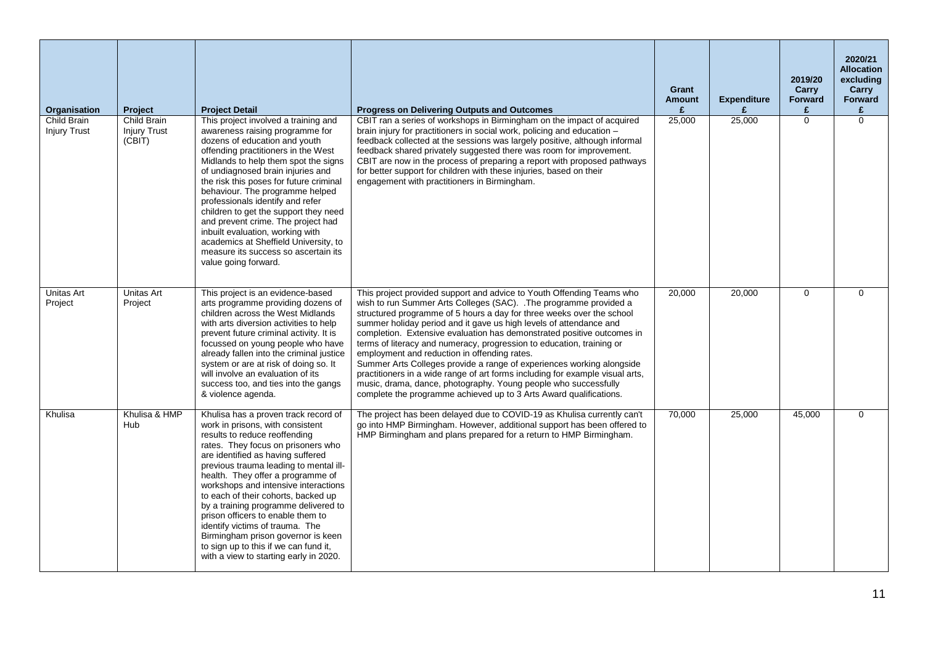| Organisation                       | Project                                      | <b>Project Detail</b>                                                                                                                                                                                                                                                                                                                                                                                                                                                                                                                                                                       | <b>Progress on Delivering Outputs and Outcomes</b>                                                                                                                                                                                                                                                                                                                                                                                                                                                                                                                                                                                                                                                                                                                                              | Grant<br><b>Amount</b><br>£ | <b>Expenditure</b><br>£ | 2019/20<br>Carry<br><b>Forward</b><br>£ | 2020/21<br><b>Allocation</b><br>excluding<br>Carry<br>Forward<br>£ |
|------------------------------------|----------------------------------------------|---------------------------------------------------------------------------------------------------------------------------------------------------------------------------------------------------------------------------------------------------------------------------------------------------------------------------------------------------------------------------------------------------------------------------------------------------------------------------------------------------------------------------------------------------------------------------------------------|-------------------------------------------------------------------------------------------------------------------------------------------------------------------------------------------------------------------------------------------------------------------------------------------------------------------------------------------------------------------------------------------------------------------------------------------------------------------------------------------------------------------------------------------------------------------------------------------------------------------------------------------------------------------------------------------------------------------------------------------------------------------------------------------------|-----------------------------|-------------------------|-----------------------------------------|--------------------------------------------------------------------|
| Child Brain<br><b>Injury Trust</b> | Child Brain<br><b>Injury Trust</b><br>(CBIT) | This project involved a training and<br>awareness raising programme for<br>dozens of education and youth<br>offending practitioners in the West<br>Midlands to help them spot the signs<br>of undiagnosed brain injuries and<br>the risk this poses for future criminal<br>behaviour. The programme helped<br>professionals identify and refer<br>children to get the support they need<br>and prevent crime. The project had<br>inbuilt evaluation, working with<br>academics at Sheffield University, to<br>measure its success so ascertain its<br>value going forward.                  | CBIT ran a series of workshops in Birmingham on the impact of acquired<br>brain injury for practitioners in social work, policing and education -<br>feedback collected at the sessions was largely positive, although informal<br>feedback shared privately suggested there was room for improvement.<br>CBIT are now in the process of preparing a report with proposed pathways<br>for better support for children with these injuries, based on their<br>engagement with practitioners in Birmingham.                                                                                                                                                                                                                                                                                       | 25,000                      | 25,000                  | $\Omega$                                | $\Omega$                                                           |
| <b>Unitas Art</b><br>Project       | Unitas Art<br>Project                        | This project is an evidence-based<br>arts programme providing dozens of<br>children across the West Midlands<br>with arts diversion activities to help<br>prevent future criminal activity. It is<br>focussed on young people who have<br>already fallen into the criminal justice<br>system or are at risk of doing so. It<br>will involve an evaluation of its<br>success too, and ties into the gangs<br>& violence agenda.                                                                                                                                                              | This project provided support and advice to Youth Offending Teams who<br>wish to run Summer Arts Colleges (SAC). .The programme provided a<br>structured programme of 5 hours a day for three weeks over the school<br>summer holiday period and it gave us high levels of attendance and<br>completion. Extensive evaluation has demonstrated positive outcomes in<br>terms of literacy and numeracy, progression to education, training or<br>employment and reduction in offending rates.<br>Summer Arts Colleges provide a range of experiences working alongside<br>practitioners in a wide range of art forms including for example visual arts,<br>music, drama, dance, photography. Young people who successfully<br>complete the programme achieved up to 3 Arts Award qualifications. | 20,000                      | 20,000                  | $\mathbf 0$                             | $\Omega$                                                           |
| Khulisa                            | Khulisa & HMP<br>Hub                         | Khulisa has a proven track record of<br>work in prisons, with consistent<br>results to reduce reoffending<br>rates. They focus on prisoners who<br>are identified as having suffered<br>previous trauma leading to mental ill-<br>health. They offer a programme of<br>workshops and intensive interactions<br>to each of their cohorts, backed up<br>by a training programme delivered to<br>prison officers to enable them to<br>identify victims of trauma. The<br>Birmingham prison governor is keen<br>to sign up to this if we can fund it,<br>with a view to starting early in 2020. | The project has been delayed due to COVID-19 as Khulisa currently can't<br>go into HMP Birmingham. However, additional support has been offered to<br>HMP Birmingham and plans prepared for a return to HMP Birmingham.                                                                                                                                                                                                                                                                                                                                                                                                                                                                                                                                                                         | 70.000                      | 25.000                  | 45.000                                  | $\Omega$                                                           |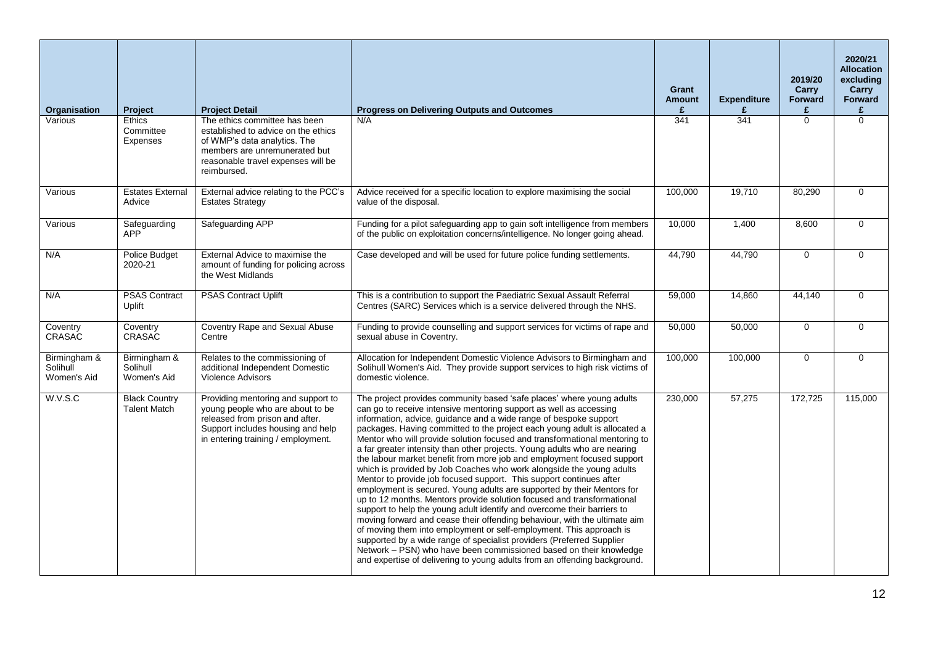| Organisation                            | Project                                     | <b>Project Detail</b>                                                                                                                                                                      | <b>Progress on Delivering Outputs and Outcomes</b>                                                                                                                                                                                                                                                                                                                                                                                                                                                                                                                                                                                                                                                                                                                                                                                                                                                                                                                                                                                                                                                                                                                                                                                                                                               | Grant<br><b>Amount</b><br>£ | <b>Expenditure</b><br>£ | 2019/20<br><b>Carry</b><br><b>Forward</b><br>£ | 2020/21<br><b>Allocation</b><br>excluding<br>Carry<br>Forward<br>£ |
|-----------------------------------------|---------------------------------------------|--------------------------------------------------------------------------------------------------------------------------------------------------------------------------------------------|--------------------------------------------------------------------------------------------------------------------------------------------------------------------------------------------------------------------------------------------------------------------------------------------------------------------------------------------------------------------------------------------------------------------------------------------------------------------------------------------------------------------------------------------------------------------------------------------------------------------------------------------------------------------------------------------------------------------------------------------------------------------------------------------------------------------------------------------------------------------------------------------------------------------------------------------------------------------------------------------------------------------------------------------------------------------------------------------------------------------------------------------------------------------------------------------------------------------------------------------------------------------------------------------------|-----------------------------|-------------------------|------------------------------------------------|--------------------------------------------------------------------|
| Various                                 | Ethics<br>Committee<br><b>Expenses</b>      | The ethics committee has been<br>established to advice on the ethics<br>of WMP's data analytics. The<br>members are unremunerated but<br>reasonable travel expenses will be<br>reimbursed. | N/A                                                                                                                                                                                                                                                                                                                                                                                                                                                                                                                                                                                                                                                                                                                                                                                                                                                                                                                                                                                                                                                                                                                                                                                                                                                                                              | 341                         | 341                     | $\Omega$                                       | $\Omega$                                                           |
| Various                                 | <b>Estates External</b><br>Advice           | External advice relating to the PCC's<br><b>Estates Strategy</b>                                                                                                                           | Advice received for a specific location to explore maximising the social<br>value of the disposal.                                                                                                                                                                                                                                                                                                                                                                                                                                                                                                                                                                                                                                                                                                                                                                                                                                                                                                                                                                                                                                                                                                                                                                                               | 100,000                     | 19,710                  | 80,290                                         | $\mathbf 0$                                                        |
| Various                                 | Safeguarding<br><b>APP</b>                  | Safeguarding APP                                                                                                                                                                           | Funding for a pilot safeguarding app to gain soft intelligence from members<br>of the public on exploitation concerns/intelligence. No longer going ahead.                                                                                                                                                                                                                                                                                                                                                                                                                                                                                                                                                                                                                                                                                                                                                                                                                                                                                                                                                                                                                                                                                                                                       | 10,000                      | 1.400                   | 8.600                                          | $\mathbf 0$                                                        |
| N/A                                     | Police Budget<br>2020-21                    | External Advice to maximise the<br>amount of funding for policing across<br>the West Midlands                                                                                              | Case developed and will be used for future police funding settlements.                                                                                                                                                                                                                                                                                                                                                                                                                                                                                                                                                                                                                                                                                                                                                                                                                                                                                                                                                                                                                                                                                                                                                                                                                           | 44,790                      | 44,790                  | $\mathbf 0$                                    | $\mathsf{O}$                                                       |
| N/A                                     | <b>PSAS Contract</b><br>Uplift              | <b>PSAS Contract Uplift</b>                                                                                                                                                                | This is a contribution to support the Paediatric Sexual Assault Referral<br>Centres (SARC) Services which is a service delivered through the NHS.                                                                                                                                                                                                                                                                                                                                                                                                                                                                                                                                                                                                                                                                                                                                                                                                                                                                                                                                                                                                                                                                                                                                                | 59,000                      | 14,860                  | 44,140                                         | $\mathbf 0$                                                        |
| Coventry<br><b>CRASAC</b>               | Coventry<br><b>CRASAC</b>                   | Coventry Rape and Sexual Abuse<br>Centre                                                                                                                                                   | Funding to provide counselling and support services for victims of rape and<br>sexual abuse in Coventry.                                                                                                                                                                                                                                                                                                                                                                                                                                                                                                                                                                                                                                                                                                                                                                                                                                                                                                                                                                                                                                                                                                                                                                                         | 50,000                      | 50,000                  | 0                                              | $\mathbf 0$                                                        |
| Birmingham &<br>Solihull<br>Women's Aid | Birmingham &<br>Solihull<br>Women's Aid     | Relates to the commissioning of<br>additional Independent Domestic<br><b>Violence Advisors</b>                                                                                             | Allocation for Independent Domestic Violence Advisors to Birmingham and<br>Solihull Women's Aid. They provide support services to high risk victims of<br>domestic violence.                                                                                                                                                                                                                                                                                                                                                                                                                                                                                                                                                                                                                                                                                                                                                                                                                                                                                                                                                                                                                                                                                                                     | 100,000                     | 100,000                 | $\mathbf 0$                                    | $\mathbf 0$                                                        |
| W.V.S.C                                 | <b>Black Country</b><br><b>Talent Match</b> | Providing mentoring and support to<br>young people who are about to be<br>released from prison and after.<br>Support includes housing and help<br>in entering training / employment.       | The project provides community based 'safe places' where young adults<br>can go to receive intensive mentoring support as well as accessing<br>information, advice, guidance and a wide range of bespoke support<br>packages. Having committed to the project each young adult is allocated a<br>Mentor who will provide solution focused and transformational mentoring to<br>a far greater intensity than other projects. Young adults who are nearing<br>the labour market benefit from more job and employment focused support<br>which is provided by Job Coaches who work alongside the young adults<br>Mentor to provide job focused support. This support continues after<br>employment is secured. Young adults are supported by their Mentors for<br>up to 12 months. Mentors provide solution focused and transformational<br>support to help the young adult identify and overcome their barriers to<br>moving forward and cease their offending behaviour, with the ultimate aim<br>of moving them into employment or self-employment. This approach is<br>supported by a wide range of specialist providers (Preferred Supplier<br>Network – PSN) who have been commissioned based on their knowledge<br>and expertise of delivering to young adults from an offending background. | 230,000                     | 57,275                  | 172,725                                        | 115,000                                                            |